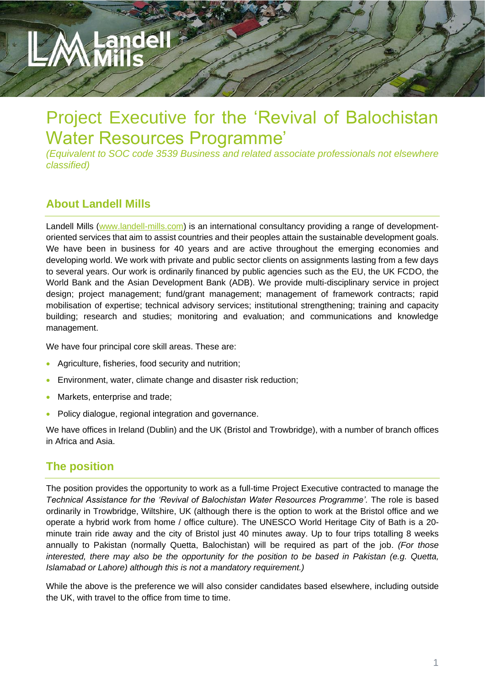# Project Executive for the 'Revival of Balochistan Water Resources Programme'

*(Equivalent to SOC code 3539 Business and related associate professionals not elsewhere classified)*

# **About Landell Mills**

Landell Mills [\(www.landell-mills.com\)](http://www.landell-mills.com/) is an international consultancy providing a range of developmentoriented services that aim to assist countries and their peoples attain the sustainable development goals. We have been in business for 40 years and are active throughout the emerging economies and developing world. We work with private and public sector clients on assignments lasting from a few days to several years. Our work is ordinarily financed by public agencies such as the EU, the UK FCDO, the World Bank and the Asian Development Bank (ADB). We provide multi-disciplinary service in project design; project management; fund/grant management; management of framework contracts; rapid mobilisation of expertise; technical advisory services; institutional strengthening; training and capacity building; research and studies; monitoring and evaluation; and communications and knowledge management.

We have four principal core skill areas. These are:

- Agriculture, fisheries, food security and nutrition;
- Environment, water, climate change and disaster risk reduction;
- Markets, enterprise and trade;
- Policy dialogue, regional integration and governance.

We have offices in Ireland (Dublin) and the UK (Bristol and Trowbridge), with a number of branch offices in Africa and Asia.

### **The position**

The position provides the opportunity to work as a full-time Project Executive contracted to manage the *Technical Assistance for the 'Revival of Balochistan Water Resources Programme'.* The role is based ordinarily in Trowbridge, Wiltshire, UK (although there is the option to work at the Bristol office and we operate a hybrid work from home / office culture). The UNESCO World Heritage City of Bath is a 20 minute train ride away and the city of Bristol just 40 minutes away. Up to four trips totalling 8 weeks annually to Pakistan (normally Quetta, Balochistan) will be required as part of the job. *(For those interested, there may also be the opportunity for the position to be based in Pakistan (e.g. Quetta, Islamabad or Lahore) although this is not a mandatory requirement.)*

While the above is the preference we will also consider candidates based elsewhere, including outside the UK, with travel to the office from time to time.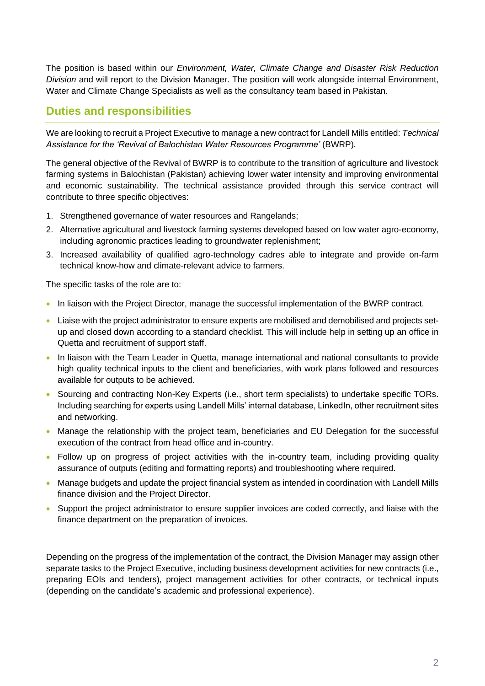The position is based within our *Environment, Water, Climate Change and Disaster Risk Reduction Division* and will report to the Division Manager. The position will work alongside internal Environment, Water and Climate Change Specialists as well as the consultancy team based in Pakistan.

### **Duties and responsibilities**

We are looking to recruit a Project Executive to manage a new contract for Landell Mills entitled: *Technical Assistance for the 'Revival of Balochistan Water Resources Programme'* (BWRP)*.*

The general objective of the Revival of BWRP is to contribute to the transition of agriculture and livestock farming systems in Balochistan (Pakistan) achieving lower water intensity and improving environmental and economic sustainability. The technical assistance provided through this service contract will contribute to three specific objectives:

- 1. Strengthened governance of water resources and Rangelands;
- 2. Alternative agricultural and livestock farming systems developed based on low water agro-economy, including agronomic practices leading to groundwater replenishment;
- 3. Increased availability of qualified agro-technology cadres able to integrate and provide on-farm technical know-how and climate-relevant advice to farmers.

The specific tasks of the role are to:

- In liaison with the Project Director, manage the successful implementation of the BWRP contract.
- Liaise with the project administrator to ensure experts are mobilised and demobilised and projects setup and closed down according to a standard checklist. This will include help in setting up an office in Quetta and recruitment of support staff.
- In liaison with the Team Leader in Quetta, manage international and national consultants to provide high quality technical inputs to the client and beneficiaries, with work plans followed and resources available for outputs to be achieved.
- Sourcing and contracting Non-Key Experts (i.e., short term specialists) to undertake specific TORs. Including searching for experts using Landell Mills' internal database, LinkedIn, other recruitment sites and networking.
- Manage the relationship with the project team, beneficiaries and EU Delegation for the successful execution of the contract from head office and in-country.
- Follow up on progress of project activities with the in-country team, including providing quality assurance of outputs (editing and formatting reports) and troubleshooting where required.
- Manage budgets and update the project financial system as intended in coordination with Landell Mills finance division and the Project Director.
- Support the project administrator to ensure supplier invoices are coded correctly, and liaise with the finance department on the preparation of invoices.

Depending on the progress of the implementation of the contract, the Division Manager may assign other separate tasks to the Project Executive, including business development activities for new contracts (i.e., preparing EOIs and tenders), project management activities for other contracts, or technical inputs (depending on the candidate's academic and professional experience).